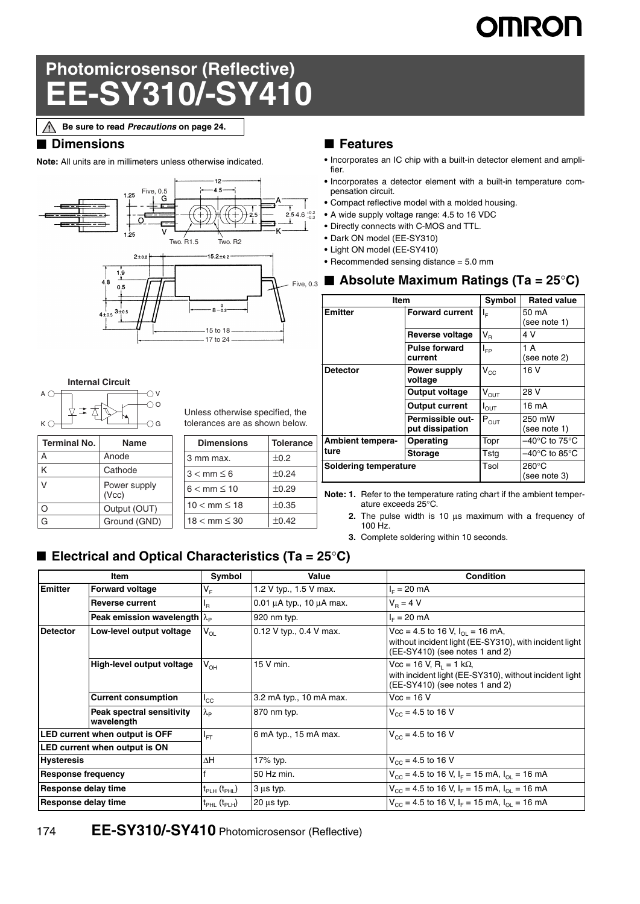# **OMRON**

# **Photomicrosensor (Reflective) EE-SY310/-SY410**

**Be sure to read** *Precautions* **on page 24.**∧

### ■ **Dimensions**

**Internal Circuit**

 $A$   $\bigcirc$ 

 $K \subset$ 

**Terminal No. Name** A Anode K | Cathode V | Power supply (Vcc) O | Output (OUT) G | Ground (GND)

÷ Ą

**Note:** All units are in millimeters unless otherwise indicated.



 $\bigcirc$  v

 $\bigcap G$  $\bigcirc$ 

### ■ **Features**

- **•** Incorporates an IC chip with a built-in detector element and amplifier.
- **•** Incorporates a detector element with a built-in temperature compensation circuit.
- **•** Compact reflective model with a molded housing.
- **•** A wide supply voltage range: 4.5 to 16 VDC
- **•** Directly connects with C-MOS and TTL.
- **•** Dark ON model (EE-SY310)
- **•** Light ON model (EE-SY410)
- **•** Recommended sensing distance = 5.0 mm

|                                                              |                  | $_{Five, 0.3}$ <b>N</b> Absolute Maximum Ratings (Ta = 25°C) |                                     |                  |                                 |  |
|--------------------------------------------------------------|------------------|--------------------------------------------------------------|-------------------------------------|------------------|---------------------------------|--|
| $8 - 0.2$<br>$-15$ to $18 -$<br>$-17$ to 24 $-$              |                  | <b>Item</b>                                                  |                                     | Symbol           | <b>Rated value</b>              |  |
|                                                              |                  | <b>Emitter</b>                                               | <b>Forward current</b>              | $l_{\rm E}$      | 50 mA<br>(see note 1)           |  |
|                                                              |                  |                                                              | <b>Reverse voltage</b>              | $V_{\rm R}$      | 4 V                             |  |
|                                                              |                  |                                                              | <b>Pulse forward</b><br>current     | $I_{FP}$         | 1 A<br>(see note 2)             |  |
|                                                              |                  | <b>Detector</b>                                              | Power supply<br>voltage             | $V_{\rm CC}$     | 16 V                            |  |
|                                                              |                  |                                                              | Output voltage                      | $V_{OUT}$        | 28 V                            |  |
| less otherwise specified, the<br>erances are as shown below. |                  |                                                              | <b>Output current</b>               | $I_{\text{OUT}}$ | 16 mA                           |  |
|                                                              |                  |                                                              | Permissible out-<br>put dissipation | $P_{OUT}$        | 250 mW<br>(see note 1)          |  |
| <b>Dimensions</b>                                            | <b>Tolerance</b> | <b>Ambient tempera-</b>                                      | Operating                           | Topr             | –40°C to 75°C $\,$              |  |
| nm max.                                                      | $\pm 0.2$        | ture                                                         | <b>Storage</b>                      | Tsta             | –40°C to 85°C                   |  |
| $<$ mm $\leq 6$                                              | $\pm 0.24$       | Soldering temperature                                        |                                     | Tsol             | $260^{\circ}$ C<br>(see note 3) |  |

**Note: 1.** Refer to the temperature rating chart if the ambient temperature exceeds 25°C.

- **2.** The pulse width is 10 μs maximum with a frequency of 100 Hz.
- **3.** Complete soldering within 10 seconds.

# ■ **Electrical and Optical Characteristics (Ta = 25°C)**

3 mm max.  $\pm 0.2$  $3 < \text{mm} \leq 6$   $\pm 0.24$  $6 < \text{mm} \leq 10$   $\pm 0.29$  $10 < \text{mm} \leq 18$   $\pm 0.35$  $18 < \text{mm} \leq 30$   $\pm 0.42$ 

Unless otherwise specified, the tolerances are as shown below.

| <b>Item</b>                    |                                            | Symbol                           | Value                              | Condition                                                                                                                        |  |
|--------------------------------|--------------------------------------------|----------------------------------|------------------------------------|----------------------------------------------------------------------------------------------------------------------------------|--|
| <b>Emitter</b>                 | <b>Forward voltage</b>                     | V <sub>F</sub>                   | 1.2 V typ., 1.5 V max.             | $I_F = 20$ mA                                                                                                                    |  |
|                                | <b>Reverse current</b>                     | ΙŖ                               | 0.01 $\mu$ A typ., 10 $\mu$ A max. | $V_B = 4 V$                                                                                                                      |  |
|                                | Peak emission wavelength $\lambda_{\rm p}$ |                                  | 920 nm typ.                        | $I_{E} = 20$ mA                                                                                                                  |  |
| <b>Detector</b>                | Low-level output voltage                   | $V_{OL}$                         | 0.12 V typ., 0.4 V max.            | Vcc = 4.5 to 16 V, $I_{01}$ = 16 mA,<br>without incident light (EE-SY310), with incident light<br>(EE-SY410) (see notes 1 and 2) |  |
|                                | High-level output voltage                  | $V_{OH}$                         | 15 V min.                          | Vcc = 16 V, R <sub>i</sub> = 1 kΩ,<br>with incident light (EE-SY310), without incident light<br>(EE-SY410) (see notes 1 and 2)   |  |
|                                | <b>Current consumption</b>                 | $I_{\rm CC}$                     | 3.2 mA typ., 10 mA max.            | $Vec = 16 V$                                                                                                                     |  |
|                                | Peak spectral sensitivity<br>wavelength    | $\lambda_{\rm P}$                | 870 nm typ.                        | $V_{\text{cc}} = 4.5$ to 16 V                                                                                                    |  |
| LED current when output is OFF |                                            | $I_{FT}$                         | 6 mA typ., 15 mA max.              | $V_{CC}$ = 4.5 to 16 V                                                                                                           |  |
| LED current when output is ON  |                                            |                                  |                                    |                                                                                                                                  |  |
| <b>Hysteresis</b>              |                                            | $\Delta H$                       | 17% typ.                           | $V_{\text{cc}}$ = 4.5 to 16 V                                                                                                    |  |
| <b>Response frequency</b>      |                                            |                                  | 50 Hz min.                         | $V_{\text{CC}}$ = 4.5 to 16 V, I <sub>F</sub> = 15 mA, I <sub>OL</sub> = 16 mA                                                   |  |
| Response delay time            |                                            | $t_{\sf PLH}$ ( $t_{\sf PHL}$ )  | 3 µs typ.                          | $V_{\text{CC}}$ = 4.5 to 16 V, I <sub>F</sub> = 15 mA, I <sub>OI</sub> = 16 mA                                                   |  |
| Response delay time            |                                            | $t_{\text{PHL}}(t_{\text{PLH}})$ | $20 \mu s$ typ.                    | $V_{\text{CC}}$ = 4.5 to 16 V, I <sub>F</sub> = 15 mA, I <sub>OI</sub> = 16 mA                                                   |  |